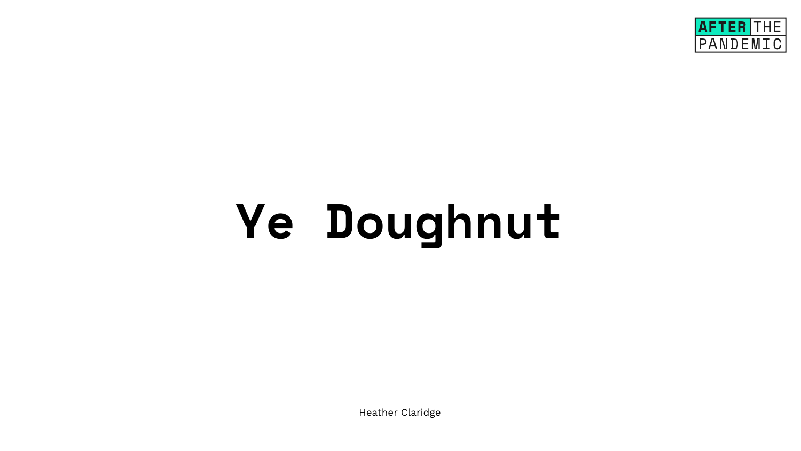# **Ye Doughnut**

Heather Claridge

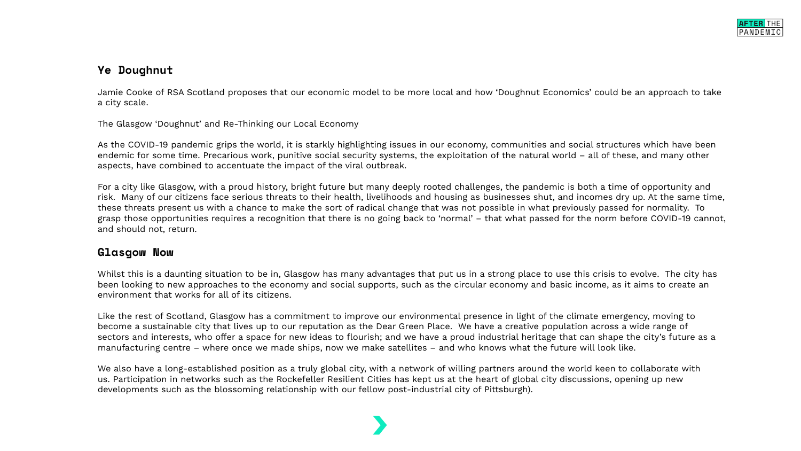# **Ye Doughnut**

Jamie Cooke of RSA Scotland proposes that our economic model to be more local and how 'Doughnut Economics' could be an approach to take a city scale.

The Glasgow 'Doughnut' and Re-Thinking our Local Economy

As the COVID-19 pandemic grips the world, it is starkly highlighting issues in our economy, communities and social structures which have been endemic for some time. Precarious work, punitive social security systems, the exploitation of the natural world – all of these, and many other aspects, have combined to accentuate the impact of the viral outbreak.

For a city like Glasgow, with a proud history, bright future but many deeply rooted challenges, the pandemic is both a time of opportunity and risk. Many of our citizens face serious threats to their health, livelihoods and housing as businesses shut, and incomes dry up. At the same time, these threats present us with a chance to make the sort of radical change that was not possible in what previously passed for normality. To grasp those opportunities requires a recognition that there is no going back to 'normal' – that what passed for the norm before COVID-19 cannot, and should not, return.

#### **Glasgow Now**

Whilst this is a daunting situation to be in, Glasgow has many advantages that put us in a strong place to use this crisis to evolve. The city has been looking to new approaches to the economy and social supports, such as the circular economy and basic income, as it aims to create an environment that works for all of its citizens.

Like the rest of Scotland, Glasgow has a commitment to improve our environmental presence in light of the climate emergency, moving to become a sustainable city that lives up to our reputation as the Dear Green Place. We have a creative population across a wide range of sectors and interests, who offer a space for new ideas to flourish; and we have a proud industrial heritage that can shape the city's future as a manufacturing centre – where once we made ships, now we make satellites – and who knows what the future will look like.

We also have a long-established position as a truly global city, with a network of willing partners around the world keen to collaborate with us. Participation in networks such as the Rockefeller Resilient Cities has kept us at the heart of global city discussions, opening up new developments such as the blossoming relationship with our fellow post-industrial city of Pittsburgh).

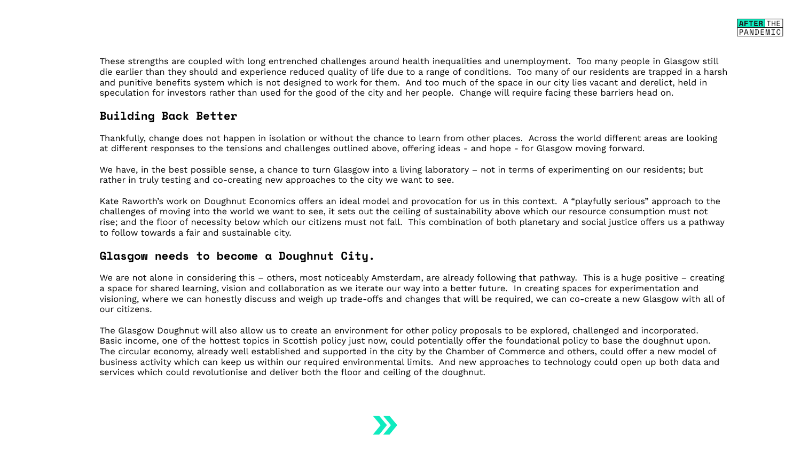These strengths are coupled with long entrenched challenges around health inequalities and unemployment. Too many people in Glasgow still die earlier than they should and experience reduced quality of life due to a range of conditions. Too many of our residents are trapped in a harsh and punitive benefits system which is not designed to work for them. And too much of the space in our city lies vacant and derelict, held in speculation for investors rather than used for the good of the city and her people. Change will require facing these barriers head on.

# **Building Back Better**

Thankfully, change does not happen in isolation or without the chance to learn from other places. Across the world different areas are looking at different responses to the tensions and challenges outlined above, offering ideas - and hope - for Glasgow moving forward.

We have, in the best possible sense, a chance to turn Glasgow into a living laboratory – not in terms of experimenting on our residents; but rather in truly testing and co-creating new approaches to the city we want to see.

Kate Raworth's work on Doughnut Economics offers an ideal model and provocation for us in this context. A "playfully serious" approach to the challenges of moving into the world we want to see, it sets out the ceiling of sustainability above which our resource consumption must not rise; and the floor of necessity below which our citizens must not fall. This combination of both planetary and social justice offers us a pathway to follow towards a fair and sustainable city.

### **Glasgow needs to become a Doughnut City.**

We are not alone in considering this – others, most noticeably Amsterdam, are already following that pathway. This is a huge positive – creating a space for shared learning, vision and collaboration as we iterate our way into a better future. In creating spaces for experimentation and visioning, where we can honestly discuss and weigh up trade-offs and changes that will be required, we can co-create a new Glasgow with all of our citizens.

The Glasgow Doughnut will also allow us to create an environment for other policy proposals to be explored, challenged and incorporated. Basic income, one of the hottest topics in Scottish policy just now, could potentially offer the foundational policy to base the doughnut upon. The circular economy, already well established and supported in the city by the Chamber of Commerce and others, could offer a new model of business activity which can keep us within our required environmental limits. And new approaches to technology could open up both data and services which could revolutionise and deliver both the floor and ceiling of the doughnut.